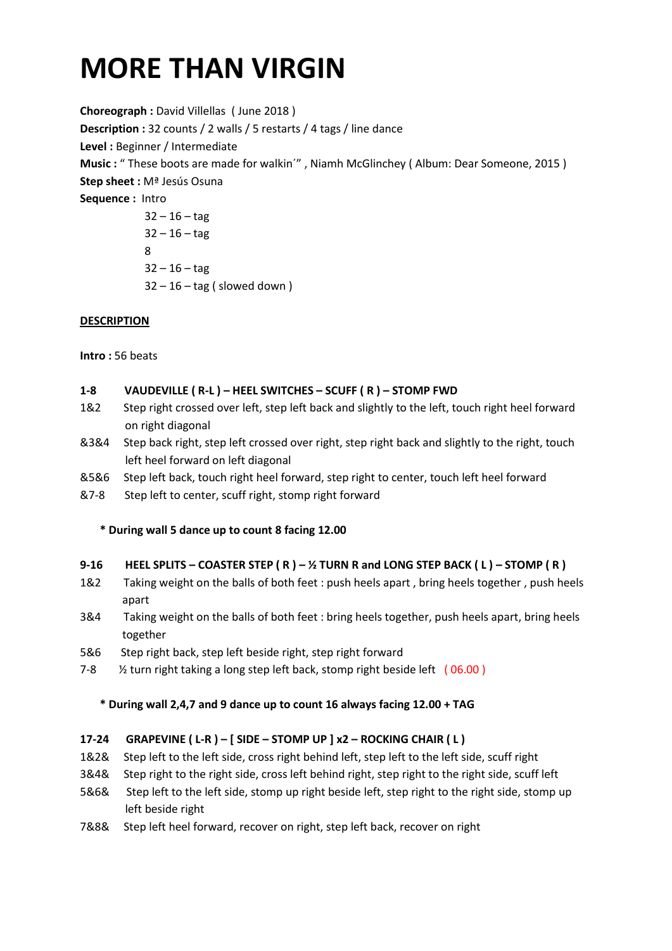# **MORE THAN VIRGIN**

**Choreograph :** David Villellas ( June 2018 ) **Description :** 32 counts / 2 walls / 5 restarts / 4 tags / line dance **Level :** Beginner / Intermediate **Music :** " These boots are made for walkin´" , Niamh McGlinchey ( Album: Dear Someone, 2015 ) **Step sheet :** Mª Jesús Osuna **Sequence :** Intro  $32 - 16 - \text{tag}$  $32 - 16 - \text{tag}$  8  $32 - 16 - \text{tag}$  $32 - 16 - \text{tag}$  (slowed down)

# **DESCRIPTION**

**Intro :** 56 beats

#### **1-8 VAUDEVILLE ( R-L ) – HEEL SWITCHES – SCUFF ( R ) – STOMP FWD**

- 1&2 Step right crossed over left, step left back and slightly to the left, touch right heel forward on right diagonal
- &3&4 Step back right, step left crossed over right, step right back and slightly to the right, touch left heel forward on left diagonal
- &5&6 Step left back, touch right heel forward, step right to center, touch left heel forward
- &7-8 Step left to center, scuff right, stomp right forward

**\* During wall 5 dance up to count 8 facing 12.00**

#### **9-16 HEEL SPLITS – COASTER STEP ( R ) – ½ TURN R and LONG STEP BACK ( L ) – STOMP ( R )**

- 1&2 Taking weight on the balls of both feet : push heels apart , bring heels together , push heels apart
- 3&4 Taking weight on the balls of both feet : bring heels together, push heels apart, bring heels together
- 5&6 Step right back, step left beside right, step right forward
- 7-8 % turn right taking a long step left back, stomp right beside left (06.00)

#### **\* During wall 2,4,7 and 9 dance up to count 16 always facing 12.00 + TAG**

#### **17-24 GRAPEVINE ( L-R ) – [ SIDE – STOMP UP ] x2 – ROCKING CHAIR ( L )**

- 1&2& Step left to the left side, cross right behind left, step left to the left side, scuff right
- 3&4& Step right to the right side, cross left behind right, step right to the right side, scuff left
- 5&6& Step left to the left side, stomp up right beside left, step right to the right side, stomp up left beside right
- 7&8& Step left heel forward, recover on right, step left back, recover on right